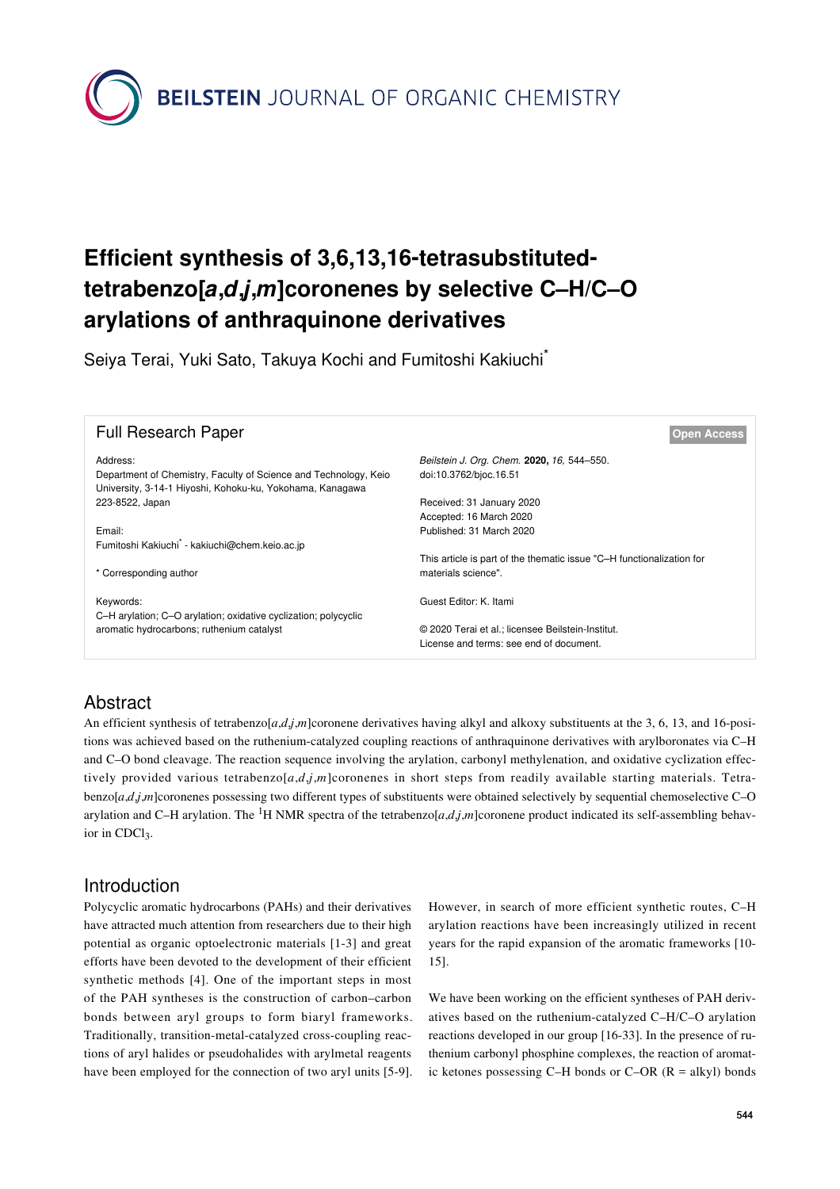**BEILSTEIN** JOURNAL OF ORGANIC CHEMISTRY

# **Efficient synthesis of 3,6,13,16-tetrasubstitutedtetrabenzo[***a***,***d***,***j***,***m***]coronenes by selective C–H/C–O arylations of anthraquinone derivatives**

Seiya Terai, Yuki Sato, Takuya Kochi and Fumitoshi Kakiuchi<sup>\*</sup>

| <b>Full Research Paper</b>                                                                                                                | <b>Open Access</b>                                                                           |
|-------------------------------------------------------------------------------------------------------------------------------------------|----------------------------------------------------------------------------------------------|
| Address:<br>Department of Chemistry, Faculty of Science and Technology, Keio<br>University, 3-14-1 Hiyoshi, Kohoku-ku, Yokohama, Kanagawa | Beilstein J. Org. Chem. 2020, 16, 544-550.<br>doi:10.3762/bioc.16.51                         |
| 223-8522, Japan                                                                                                                           | Received: 31 January 2020<br>Accepted: 16 March 2020                                         |
| Email:<br>Fumitoshi Kakiuchi <sup>*</sup> - kakiuchi@chem.keio.ac.jp                                                                      | Published: 31 March 2020                                                                     |
| * Corresponding author                                                                                                                    | This article is part of the thematic issue "C-H functionalization for<br>materials science". |
| Keywords:<br>C-H arylation; C-O arylation; oxidative cyclization; polycyclic                                                              | Guest Editor: K. Itami                                                                       |
| aromatic hydrocarbons; ruthenium catalyst                                                                                                 | © 2020 Terai et al.; licensee Beilstein-Institut.<br>License and terms: see end of document. |

# Abstract

An efficient synthesis of tetrabenzo[*a*,*d*,*j*,*m*]coronene derivatives having alkyl and alkoxy substituents at the 3, 6, 13, and 16-positions was achieved based on the ruthenium-catalyzed coupling reactions of anthraquinone derivatives with arylboronates via C–H and C–O bond cleavage. The reaction sequence involving the arylation, carbonyl methylenation, and oxidative cyclization effectively provided various tetrabenzo[*a*,*d*,*j*,*m*]coronenes in short steps from readily available starting materials. Tetrabenzo[*a*,*d*,*j*,*m*]coronenes possessing two different types of substituents were obtained selectively by sequential chemoselective C–O arylation and C–H arylation. The <sup>1</sup>H NMR spectra of the tetrabenzo[ $a$ , $d$ , $j$ , $m$ ]coronene product indicated its self-assembling behavior in CDCl<sub>3</sub>.

# **Introduction**

Polycyclic aromatic hydrocarbons (PAHs) and their derivatives have attracted much attention from researchers due to their high potential as organic optoelectronic materials [\[1-3\]](#page-5-0) and great efforts have been devoted to the development of their efficient synthetic methods [\[4\]](#page-5-1). One of the important steps in most of the PAH syntheses is the construction of carbon–carbon bonds between aryl groups to form biaryl frameworks. Traditionally, transition-metal-catalyzed cross-coupling reactions of aryl halides or pseudohalides with arylmetal reagents have been employed for the connection of two aryl units [\[5-9\]](#page-5-2). However, in search of more efficient synthetic routes, C–H arylation reactions have been increasingly utilized in recent years for the rapid expansion of the aromatic frameworks [\[10-](#page-5-3) [15\].](#page-5-3)

We have been working on the efficient syntheses of PAH derivatives based on the ruthenium-catalyzed C–H/C–O arylation reactions developed in our group [\[16-33\].](#page-5-4) In the presence of ruthenium carbonyl phosphine complexes, the reaction of aromatic ketones possessing C–H bonds or C–OR  $(R = alkyl)$  bonds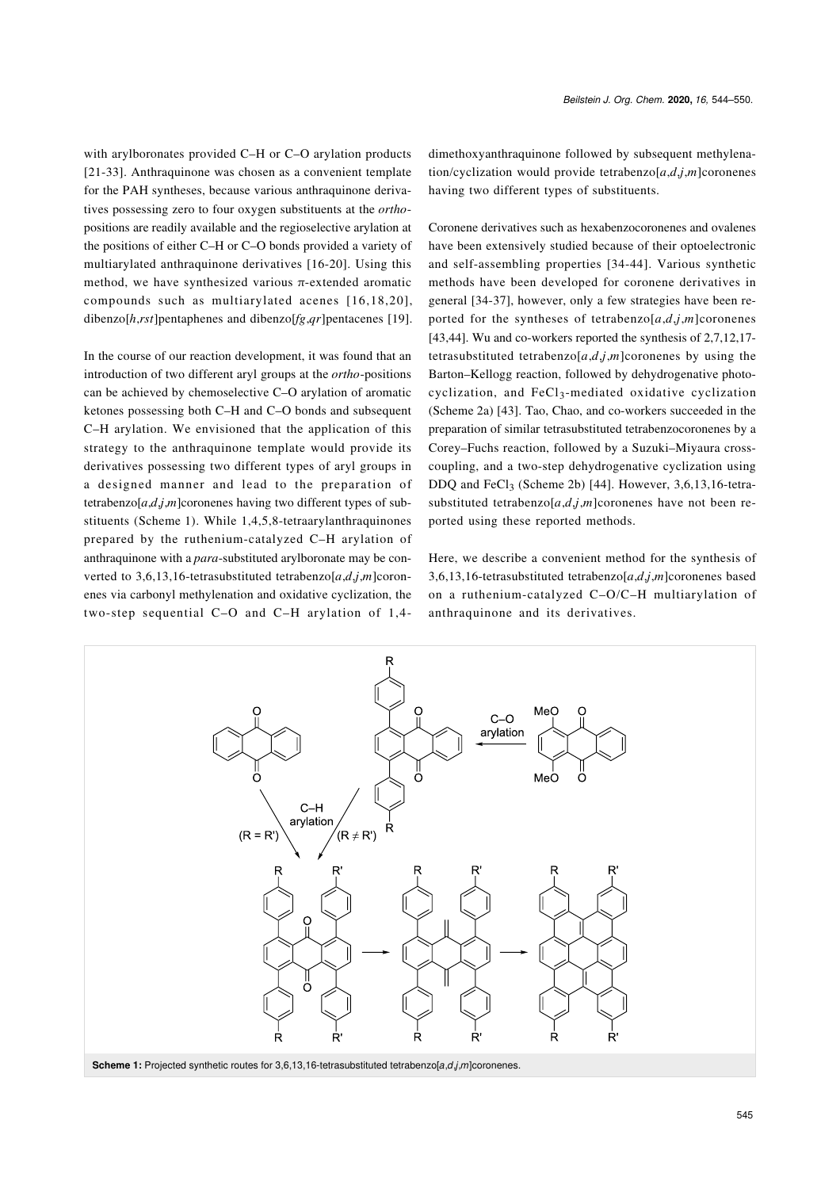with arylboronates provided C–H or C–O arylation products [\[21-33\]](#page-5-5). Anthraquinone was chosen as a convenient template for the PAH syntheses, because various anthraquinone derivatives possessing zero to four oxygen substituents at the *ortho*positions are readily available and the regioselective arylation at the positions of either C–H or C–O bonds provided a variety of multiarylated anthraquinone derivatives [\[16-20\]](#page-5-4). Using this method, we have synthesized various  $\pi$ -extended aromatic compounds such as multiarylated acenes [\[16,18,20\]](#page-5-4), dibenzo[*h*,*rst*]pentaphenes and dibenzo[*fg*,*qr*]pentacenes [\[19\]](#page-5-6).

In the course of our reaction development, it was found that an introduction of two different aryl groups at the *ortho*-positions can be achieved by chemoselective C–O arylation of aromatic ketones possessing both C–H and C–O bonds and subsequent C–H arylation. We envisioned that the application of this strategy to the anthraquinone template would provide its derivatives possessing two different types of aryl groups in a designed manner and lead to the preparation of tetrabenzo[ $a$ , $d$ , $j$ , $m$ ]coronenes having two different types of substituents ([Scheme 1](#page-1-0)). While 1,4,5,8-tetraarylanthraquinones prepared by the ruthenium-catalyzed C–H arylation of anthraquinone with a *para*-substituted arylboronate may be converted to 3,6,13,16-tetrasubstituted tetrabenzo $[a,d,j,m]$ coronenes via carbonyl methylenation and oxidative cyclization, the two-step sequential C–O and C–H arylation of 1,4dimethoxyanthraquinone followed by subsequent methylenation/cyclization would provide tetrabenzo $[a,d,j,m]$ coronenes having two different types of substituents.

Coronene derivatives such as hexabenzocoronenes and ovalenes have been extensively studied because of their optoelectronic and self-assembling properties [\[34-44\]](#page-5-7). Various synthetic methods have been developed for coronene derivatives in general [\[34-37\],](#page-5-7) however, only a few strategies have been reported for the syntheses of tetrabenzo $[a,d,j,m]$ coronenes [\[43,44\].](#page-6-0) Wu and co-workers reported the synthesis of 2,7,12,17 tetrasubstituted tetrabenzo[ $a$ , $d$ , $j$ , $m$ ]coronenes by using the Barton–Kellogg reaction, followed by dehydrogenative photocyclization, and FeCl3-mediated oxidative cyclization ([Scheme 2a](#page-2-0)) [\[43\]](#page-6-0). Tao, Chao, and co-workers succeeded in the preparation of similar tetrasubstituted tetrabenzocoronenes by a Corey–Fuchs reaction, followed by a Suzuki–Miyaura crosscoupling, and a two-step dehydrogenative cyclization using DDQ and FeCl<sub>3</sub> [\(Scheme 2b](#page-2-0)) [\[44\]](#page-6-1). However,  $3,6,13,16$ -tetrasubstituted tetrabenzo[ $a$ , $d$ , $j$ , $m$ ]coronenes have not been reported using these reported methods.

Here, we describe a convenient method for the synthesis of 3,6,13,16-tetrasubstituted tetrabenzo[*a*,*d*,*j*,*m*]coronenes based on a ruthenium-catalyzed C–O/C–H multiarylation of anthraquinone and its derivatives.

<span id="page-1-0"></span>

**Scheme 1:** Projected synthetic routes for 3,6,13,16-tetrasubstituted tetrabenzo[*a*,*d*,*j*,*m*]coronenes.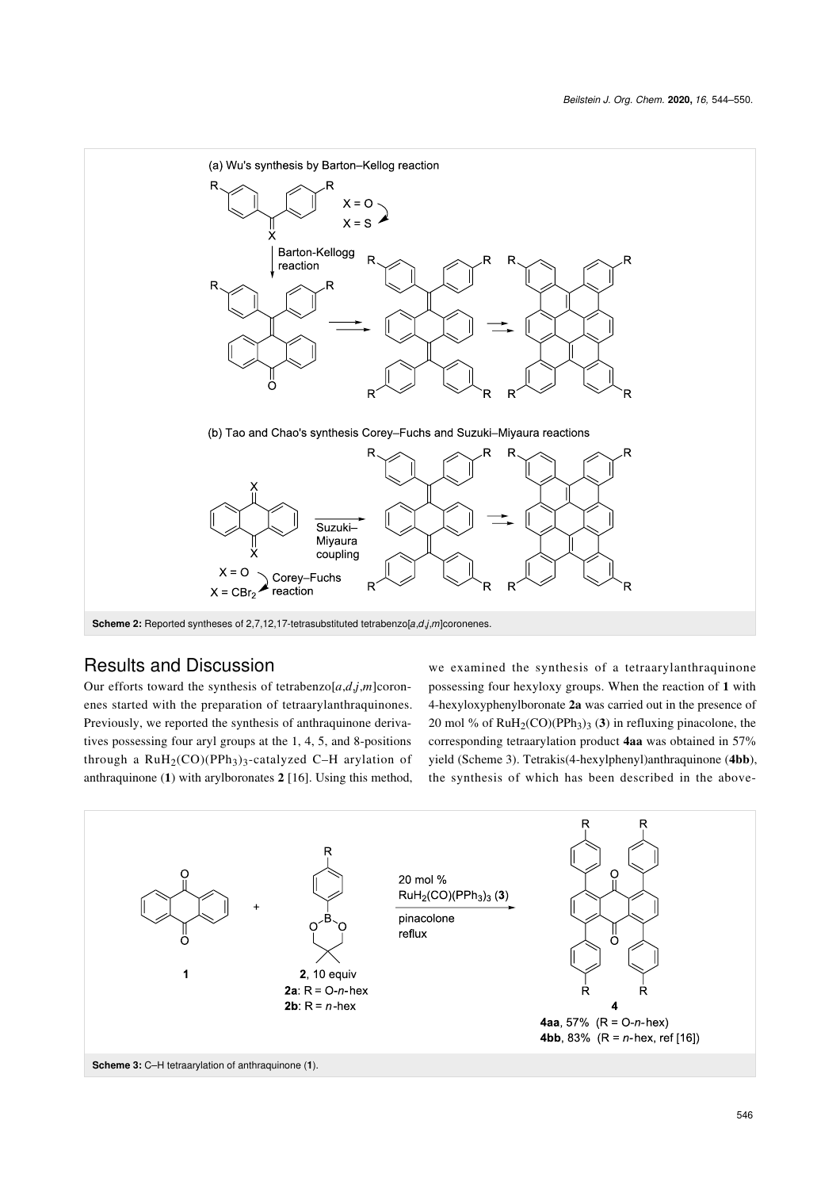<span id="page-2-0"></span>

## Results and Discussion

Our efforts toward the synthesis of tetrabenzo $[a,d,j,m]$ coronenes started with the preparation of tetraarylanthraquinones. Previously, we reported the synthesis of anthraquinone derivatives possessing four aryl groups at the 1, 4, 5, and 8-positions through a  $RuH<sub>2</sub>(CO)(PPh<sub>3</sub>)<sub>3</sub>$ -catalyzed C-H arylation of anthraquinone (**1**) with arylboronates **2** [\[16\].](#page-5-4) Using this method,

we examined the synthesis of a tetraarylanthraquinone possessing four hexyloxy groups. When the reaction of **1** with 4-hexyloxyphenylboronate **2a** was carried out in the presence of 20 mol % of  $\text{RuH}_2(CO)(\text{PPh}_3)$ <sub>3</sub> (3) in refluxing pinacolone, the corresponding tetraarylation product **4aa** was obtained in 57% yield [\(Scheme 3\)](#page-2-1). Tetrakis(4-hexylphenyl)anthraquinone (**4bb**), the synthesis of which has been described in the above-

<span id="page-2-1"></span>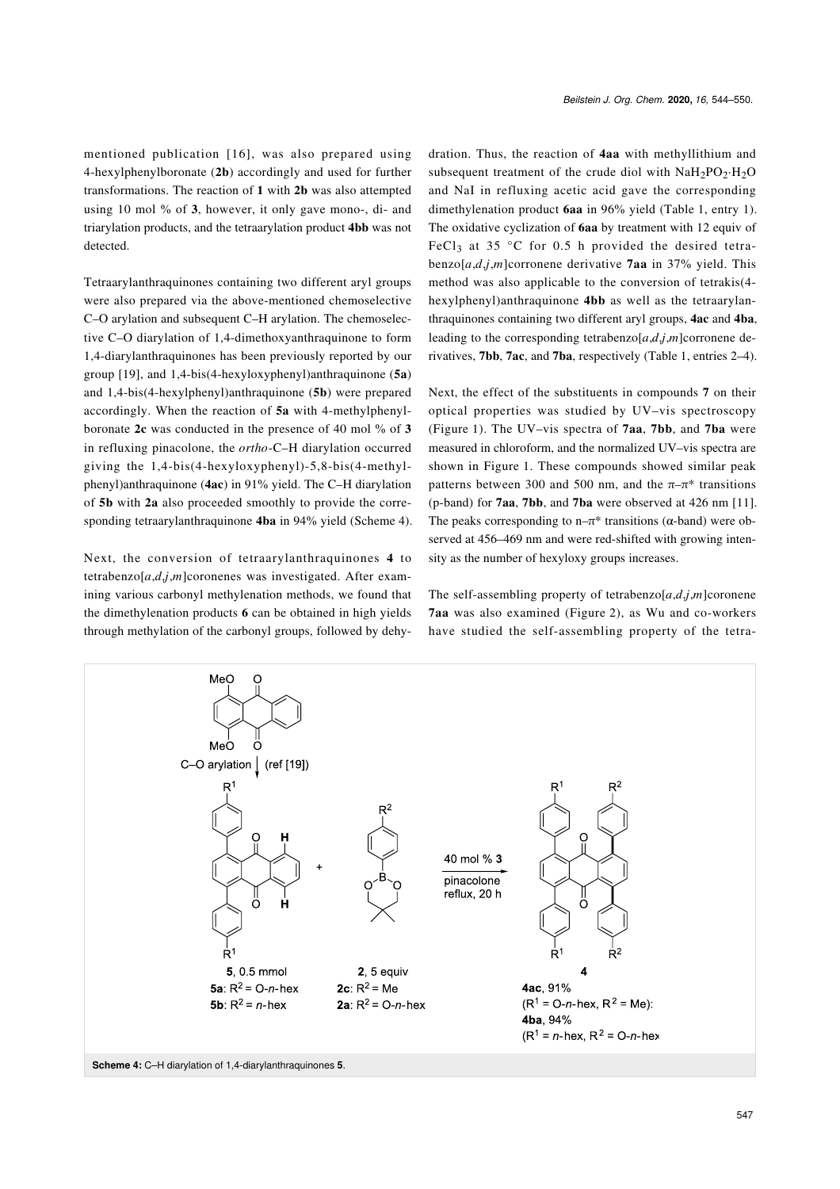mentioned publication [\[16\]](#page-5-4), was also prepared using 4-hexylphenylboronate (**2b**) accordingly and used for further transformations. The reaction of **1** with **2b** was also attempted using 10 mol % of **3**, however, it only gave mono-, di- and triarylation products, and the tetraarylation product **4bb** was not detected.

Tetraarylanthraquinones containing two different aryl groups were also prepared via the above-mentioned chemoselective C–O arylation and subsequent C–H arylation. The chemoselective C–O diarylation of 1,4-dimethoxyanthraquinone to form 1,4-diarylanthraquinones has been previously reported by our group [\[19\]](#page-5-6), and 1,4-bis(4-hexyloxyphenyl)anthraquinone (**5a**) and 1,4-bis(4-hexylphenyl)anthraquinone (**5b**) were prepared accordingly. When the reaction of **5a** with 4-methylphenylboronate **2c** was conducted in the presence of 40 mol % of **3** in refluxing pinacolone, the *ortho*-C–H diarylation occurred giving the 1,4-bis(4-hexyloxyphenyl)-5,8-bis(4-methylphenyl)anthraquinone (**4ac**) in 91% yield. The C–H diarylation of **5b** with **2a** also proceeded smoothly to provide the corresponding tetraarylanthraquinone **4ba** in 94% yield [\(Scheme 4\)](#page-3-0).

Next, the conversion of tetraarylanthraquinones **4** to tetrabenzo $[a,d,j,m]$ coronenes was investigated. After examining various carbonyl methylenation methods, we found that the dimethylenation products **6** can be obtained in high yields through methylation of the carbonyl groups, followed by dehy-

dration. Thus, the reaction of **4aa** with methyllithium and subsequent treatment of the crude diol with  $N a H_2PO_2 \cdot H_2O$ and NaI in refluxing acetic acid gave the corresponding dimethylenation product **6aa** in 96% yield ([Table 1,](#page-4-0) entry 1). The oxidative cyclization of **6aa** by treatment with 12 equiv of FeCl<sub>3</sub> at 35 °C for 0.5 h provided the desired tetrabenzo $[a,d,j,m]$ corronene derivative **7aa** in 37% yield. This method was also applicable to the conversion of tetrakis(4 hexylphenyl)anthraquinone **4bb** as well as the tetraarylanthraquinones containing two different aryl groups, **4ac** and **4ba**, leading to the corresponding tetrabenzo $[a,d,j,m]$ corronene derivatives, **7bb**, **7ac**, and **7ba**, respectively [\(Table 1,](#page-4-0) entries 2–4).

Next, the effect of the substituents in compounds **7** on their optical properties was studied by UV–vis spectroscopy ([Figure 1](#page-4-1)). The UV–vis spectra of **7aa**, **7bb**, and **7ba** were measured in chloroform, and the normalized UV–vis spectra are shown in [Figure 1](#page-4-1). These compounds showed similar peak patterns between 300 and 500 nm, and the  $\pi-\pi^*$  transitions (p-band) for **7aa**, **7bb**, and **7ba** were observed at 426 nm [\[11\]](#page-5-8). The peaks corresponding to n– $\pi^*$  transitions ( $\alpha$ -band) were observed at 456–469 nm and were red-shifted with growing intensity as the number of hexyloxy groups increases.

The self-assembling property of tetrabenzo $[a,d,j,m]$ coronene **7aa** was also examined ([Figure 2](#page-4-2)), as Wu and co-workers have studied the self-assembling property of the tetra-

<span id="page-3-0"></span>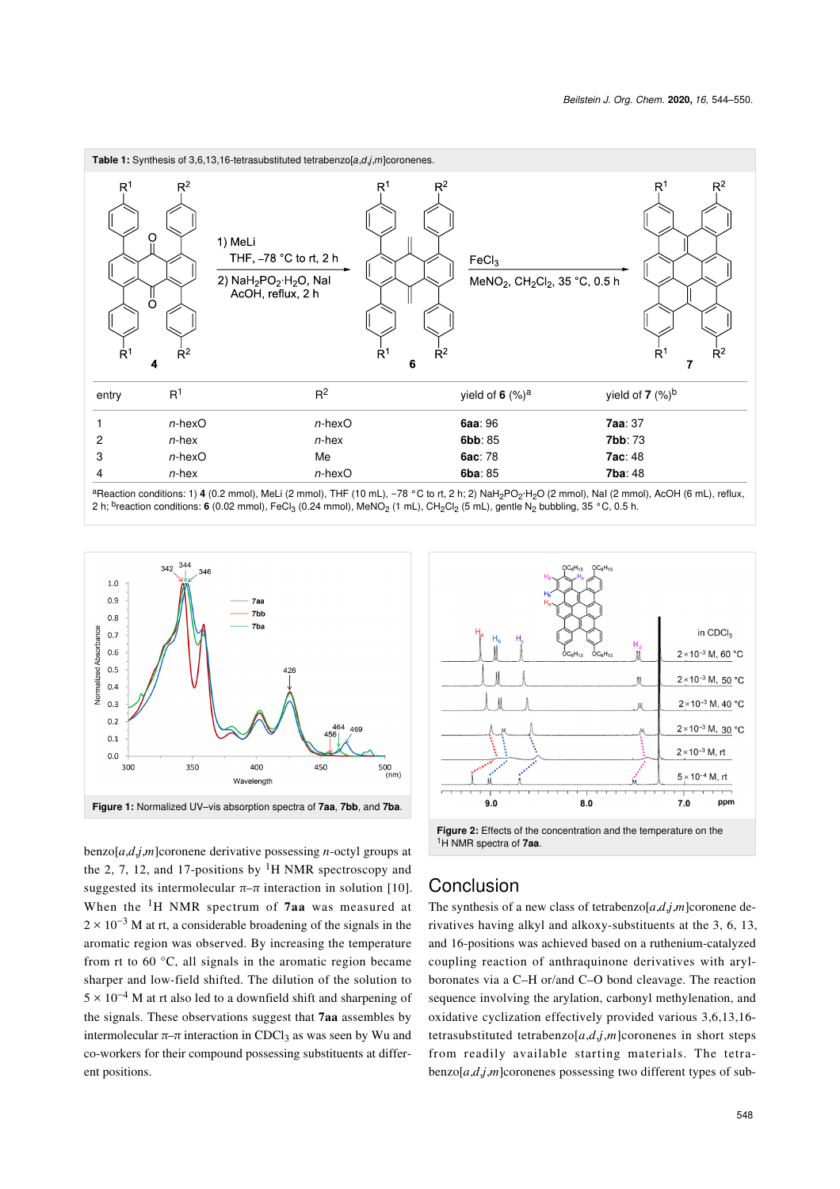<span id="page-4-0"></span>

2 h; <sup>b</sup>reaction conditions: **6** (0.02 mmol), FeCl<sub>3</sub> (0.24 mmol), MeNO<sub>2</sub> (1 mL), CH<sub>2</sub>Cl<sub>2</sub> (5 mL), gentle N<sub>2</sub> bubbling, 35 °C, 0.5 h.

<span id="page-4-1"></span>

benzo[*a*,*d*,*j*,*m*]coronene derivative possessing *n*-octyl groups at the 2, 7, 12, and 17-positions by  ${}^{1}H$  NMR spectroscopy and suggested its intermolecular  $\pi-\pi$  interaction in solution [\[10\]](#page-5-3). When the 1H NMR spectrum of **7aa** was measured at  $2 \times 10^{-3}$  M at rt, a considerable broadening of the signals in the aromatic region was observed. By increasing the temperature from rt to 60 °C, all signals in the aromatic region became sharper and low-field shifted. The dilution of the solution to  $5 \times 10^{-4}$  M at rt also led to a downfield shift and sharpening of the signals. These observations suggest that **7aa** assembles by intermolecular  $\pi$ –π interaction in CDCl<sub>3</sub> as was seen by Wu and co-workers for their compound possessing substituents at different positions.

<span id="page-4-2"></span>

<sup>1</sup>H NMR spectra of **7aa**.

# Conclusion

The synthesis of a new class of tetrabenzo[*a*,*d*,*j*,*m*]coronene derivatives having alkyl and alkoxy-substituents at the 3, 6, 13, and 16-positions was achieved based on a ruthenium-catalyzed coupling reaction of anthraquinone derivatives with arylboronates via a C–H or/and C–O bond cleavage. The reaction sequence involving the arylation, carbonyl methylenation, and oxidative cyclization effectively provided various 3,6,13,16 tetrasubstituted tetrabenzo[*a*,*d*,*j*,*m*]coronenes in short steps from readily available starting materials. The tetrabenzo[*a*,*d*,*j*,*m*]coronenes possessing two different types of sub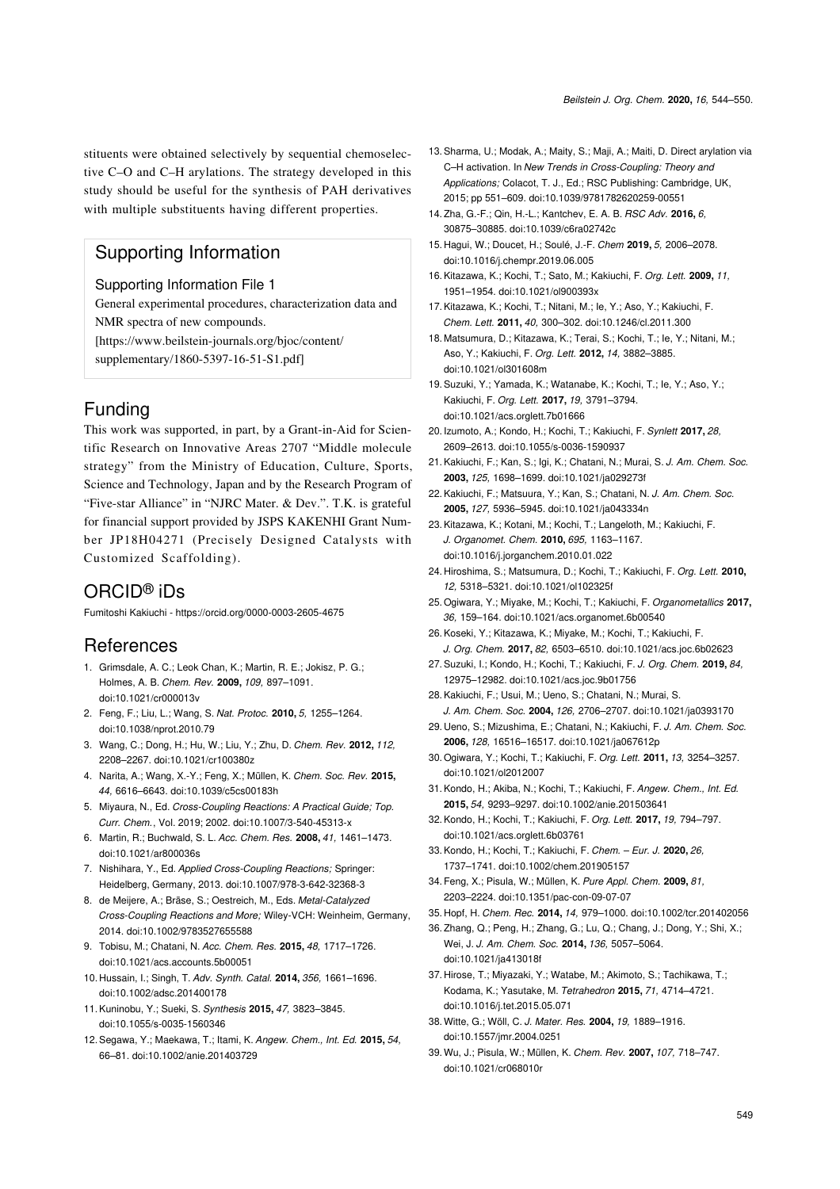stituents were obtained selectively by sequential chemoselective C–O and C–H arylations. The strategy developed in this study should be useful for the synthesis of PAH derivatives with multiple substituents having different properties.

# Supporting Information

#### Supporting Information File 1

General experimental procedures, characterization data and NMR spectra of new compounds.

[\[https://www.beilstein-journals.org/bjoc/content/](https://www.beilstein-journals.org/bjoc/content/supplementary/1860-5397-16-51-S1.pdf)

[supplementary/1860-5397-16-51-S1.pdf\]](https://www.beilstein-journals.org/bjoc/content/supplementary/1860-5397-16-51-S1.pdf)

# Funding

This work was supported, in part, by a Grant-in-Aid for Scientific Research on Innovative Areas 2707 "Middle molecule strategy" from the Ministry of Education, Culture, Sports, Science and Technology, Japan and by the Research Program of "Five-star Alliance" in "NJRC Mater. & Dev.". T.K. is grateful for financial support provided by JSPS KAKENHI Grant Number JP18H04271 (Precisely Designed Catalysts with Customized Scaffolding).

## ORCID® iDs

Fumitoshi Kakiuchi -<https://orcid.org/0000-0003-2605-4675>

### References

- <span id="page-5-0"></span>1. Grimsdale, A. C.; Leok Chan, K.; Martin, R. E.; Jokisz, P. G.; Holmes, A. B. *Chem. Rev.* **2009,** *109,* 897–1091. [doi:10.1021/cr000013v](https://doi.org/10.1021%2Fcr000013v)
- 2. Feng, F.; Liu, L.; Wang, S. *Nat. Protoc.* **2010,** *5,* 1255–1264. [doi:10.1038/nprot.2010.79](https://doi.org/10.1038%2Fnprot.2010.79)
- 3. Wang, C.; Dong, H.; Hu, W.; Liu, Y.; Zhu, D. *Chem. Rev.* **2012,** *112,* 2208–2267. [doi:10.1021/cr100380z](https://doi.org/10.1021%2Fcr100380z)
- <span id="page-5-1"></span>4. Narita, A.; Wang, X.-Y.; Feng, X.; Müllen, K. *Chem. Soc. Rev.* **2015,** *44,* 6616–6643. [doi:10.1039/c5cs00183h](https://doi.org/10.1039%2Fc5cs00183h)
- <span id="page-5-2"></span>5. Miyaura, N., Ed. *Cross-Coupling Reactions: A Practical Guide; Top. Curr. Chem.*, Vol. 2019; 2002. [doi:10.1007/3-540-45313-x](https://doi.org/10.1007%2F3-540-45313-x)
- 6. Martin, R.; Buchwald, S. L. *Acc. Chem. Res.* **2008,** *41,* 1461–1473. [doi:10.1021/ar800036s](https://doi.org/10.1021%2Far800036s)
- 7. Nishihara, Y., Ed. *Applied Cross-Coupling Reactions;* Springer: Heidelberg, Germany, 2013. [doi:10.1007/978-3-642-32368-3](https://doi.org/10.1007%2F978-3-642-32368-3)
- 8. de Meijere, A.; Bräse, S.; Oestreich, M., Eds. *Metal-Catalyzed Cross-Coupling Reactions and More;* Wiley-VCH: Weinheim, Germany, 2014. [doi:10.1002/9783527655588](https://doi.org/10.1002%2F9783527655588)
- 9. Tobisu, M.; Chatani, N. *Acc. Chem. Res.* **2015,** *48,* 1717–1726. [doi:10.1021/acs.accounts.5b00051](https://doi.org/10.1021%2Facs.accounts.5b00051)
- <span id="page-5-3"></span>10. Hussain, I.; Singh, T. *Adv. Synth. Catal.* **2014,** *356,* 1661–1696. [doi:10.1002/adsc.201400178](https://doi.org/10.1002%2Fadsc.201400178)
- <span id="page-5-8"></span>11.Kuninobu, Y.; Sueki, S. *Synthesis* **2015,** *47,* 3823–3845. [doi:10.1055/s-0035-1560346](https://doi.org/10.1055%2Fs-0035-1560346)
- 12.Segawa, Y.; Maekawa, T.; Itami, K. *Angew. Chem., Int. Ed.* **2015,** *54,* 66–81. [doi:10.1002/anie.201403729](https://doi.org/10.1002%2Fanie.201403729)
- 13.Sharma, U.; Modak, A.; Maity, S.; Maji, A.; Maiti, D. Direct arylation via C–H activation. In *New Trends in Cross-Coupling: Theory and Applications;* Colacot, T. J., Ed.; RSC Publishing: Cambridge, UK, 2015; pp 551–609. [doi:10.1039/9781782620259-00551](https://doi.org/10.1039%2F9781782620259-00551)
- 14.Zha, G.-F.; Qin, H.-L.; Kantchev, E. A. B. *RSC Adv.* **2016,** *6,* 30875–30885. [doi:10.1039/c6ra02742c](https://doi.org/10.1039%2Fc6ra02742c)
- 15. Hagui, W.; Doucet, H.; Soulé, J.-F. *Chem* **2019,** *5,* 2006–2078. [doi:10.1016/j.chempr.2019.06.005](https://doi.org/10.1016%2Fj.chempr.2019.06.005)
- <span id="page-5-4"></span>16.Kitazawa, K.; Kochi, T.; Sato, M.; Kakiuchi, F. *Org. Lett.* **2009,** *11,* 1951–1954. [doi:10.1021/ol900393x](https://doi.org/10.1021%2Fol900393x)
- 17.Kitazawa, K.; Kochi, T.; Nitani, M.; Ie, Y.; Aso, Y.; Kakiuchi, F. *Chem. Lett.* **2011,** *40,* 300–302. [doi:10.1246/cl.2011.300](https://doi.org/10.1246%2Fcl.2011.300)
- 18. Matsumura, D.; Kitazawa, K.; Terai, S.; Kochi, T.; Ie, Y.; Nitani, M.; Aso, Y.; Kakiuchi, F. *Org. Lett.* **2012,** *14,* 3882–3885. [doi:10.1021/ol301608m](https://doi.org/10.1021%2Fol301608m)
- <span id="page-5-6"></span>19.Suzuki, Y.; Yamada, K.; Watanabe, K.; Kochi, T.; Ie, Y.; Aso, Y.; Kakiuchi, F. *Org. Lett.* **2017,** *19,* 3791–3794. [doi:10.1021/acs.orglett.7b01666](https://doi.org/10.1021%2Facs.orglett.7b01666)
- 20. Izumoto, A.; Kondo, H.; Kochi, T.; Kakiuchi, F. *Synlett* **2017,** *28,* 2609–2613. [doi:10.1055/s-0036-1590937](https://doi.org/10.1055%2Fs-0036-1590937)
- <span id="page-5-5"></span>21.Kakiuchi, F.; Kan, S.; Igi, K.; Chatani, N.; Murai, S. *J. Am. Chem. Soc.* **2003,** *125,* 1698–1699. [doi:10.1021/ja029273f](https://doi.org/10.1021%2Fja029273f)
- 22.Kakiuchi, F.; Matsuura, Y.; Kan, S.; Chatani, N. *J. Am. Chem. Soc.* **2005,** *127,* 5936–5945. [doi:10.1021/ja043334n](https://doi.org/10.1021%2Fja043334n)
- 23.Kitazawa, K.; Kotani, M.; Kochi, T.; Langeloth, M.; Kakiuchi, F. *J. Organomet. Chem.* **2010,** *695,* 1163–1167. [doi:10.1016/j.jorganchem.2010.01.022](https://doi.org/10.1016%2Fj.jorganchem.2010.01.022)
- 24. Hiroshima, S.; Matsumura, D.; Kochi, T.; Kakiuchi, F. *Org. Lett.* **2010,** *12,* 5318–5321. [doi:10.1021/ol102325f](https://doi.org/10.1021%2Fol102325f)
- 25.Ogiwara, Y.; Miyake, M.; Kochi, T.; Kakiuchi, F. *Organometallics* **2017,** *36,* 159–164. [doi:10.1021/acs.organomet.6b00540](https://doi.org/10.1021%2Facs.organomet.6b00540)
- 26.Koseki, Y.; Kitazawa, K.; Miyake, M.; Kochi, T.; Kakiuchi, F. *J. Org. Chem.* **2017,** *82,* 6503–6510. [doi:10.1021/acs.joc.6b02623](https://doi.org/10.1021%2Facs.joc.6b02623)
- 27.Suzuki, I.; Kondo, H.; Kochi, T.; Kakiuchi, F. *J. Org. Chem.* **2019,** *84,* 12975–12982. [doi:10.1021/acs.joc.9b01756](https://doi.org/10.1021%2Facs.joc.9b01756)
- 28.Kakiuchi, F.; Usui, M.; Ueno, S.; Chatani, N.; Murai, S. *J. Am. Chem. Soc.* **2004,** *126,* 2706–2707. [doi:10.1021/ja0393170](https://doi.org/10.1021%2Fja0393170)
- 29. Ueno, S.; Mizushima, E.; Chatani, N.; Kakiuchi, F. *J. Am. Chem. Soc.* **2006,** *128,* 16516–16517. [doi:10.1021/ja067612p](https://doi.org/10.1021%2Fja067612p)
- 30.Ogiwara, Y.; Kochi, T.; Kakiuchi, F. *Org. Lett.* **2011,** *13,* 3254–3257. [doi:10.1021/ol2012007](https://doi.org/10.1021%2Fol2012007)
- 31.Kondo, H.; Akiba, N.; Kochi, T.; Kakiuchi, F. *Angew. Chem., Int. Ed.* **2015,** *54,* 9293–9297. [doi:10.1002/anie.201503641](https://doi.org/10.1002%2Fanie.201503641)
- 32.Kondo, H.; Kochi, T.; Kakiuchi, F. *Org. Lett.* **2017,** *19,* 794–797. [doi:10.1021/acs.orglett.6b03761](https://doi.org/10.1021%2Facs.orglett.6b03761)
- 33.Kondo, H.; Kochi, T.; Kakiuchi, F. *Chem. Eur. J.* **2020,** *26,* 1737–1741. [doi:10.1002/chem.201905157](https://doi.org/10.1002%2Fchem.201905157)
- <span id="page-5-7"></span>34.Feng, X.; Pisula, W.; Müllen, K. *Pure Appl. Chem.* **2009,** *81,* 2203–2224. [doi:10.1351/pac-con-09-07-07](https://doi.org/10.1351%2Fpac-con-09-07-07)
- 35. Hopf, H. *Chem. Rec.* **2014,** *14,* 979–1000. [doi:10.1002/tcr.201402056](https://doi.org/10.1002%2Ftcr.201402056)
- 36.Zhang, Q.; Peng, H.; Zhang, G.; Lu, Q.; Chang, J.; Dong, Y.; Shi, X.; Wei, J. *J. Am. Chem. Soc.* **2014,** *136,* 5057–5064. [doi:10.1021/ja413018f](https://doi.org/10.1021%2Fja413018f)
- 37. Hirose, T.; Miyazaki, Y.; Watabe, M.; Akimoto, S.; Tachikawa, T.; Kodama, K.; Yasutake, M. *Tetrahedron* **2015,** *71,* 4714–4721. [doi:10.1016/j.tet.2015.05.071](https://doi.org/10.1016%2Fj.tet.2015.05.071)
- 38.Witte, G.; Wöll, C. *J. Mater. Res.* **2004,** *19,* 1889–1916. [doi:10.1557/jmr.2004.0251](https://doi.org/10.1557%2Fjmr.2004.0251)
- 39.Wu, J.; Pisula, W.; Müllen, K. *Chem. Rev.* **2007,** *107,* 718–747. [doi:10.1021/cr068010r](https://doi.org/10.1021%2Fcr068010r)